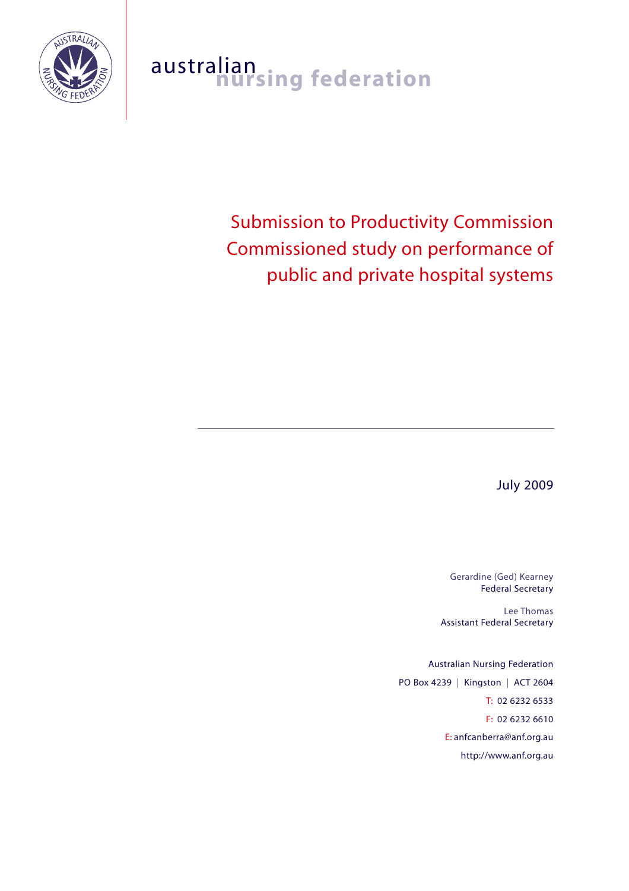

# australian<br>**nursing federation**

# Submission to Productivity Commission Commissioned study on performance of public and private hospital systems

July 2009

Gerardine (Ged) Kearney Federal Secretary

Lee Thomas Assistant Federal Secretary

Australian Nursing Federation PO Box 4239 | Kingston | ACT 2604 T: 02 6232 6533 F: 02 6232 6610 E: anfcanberra@anf.org.au http://www.anf.org.au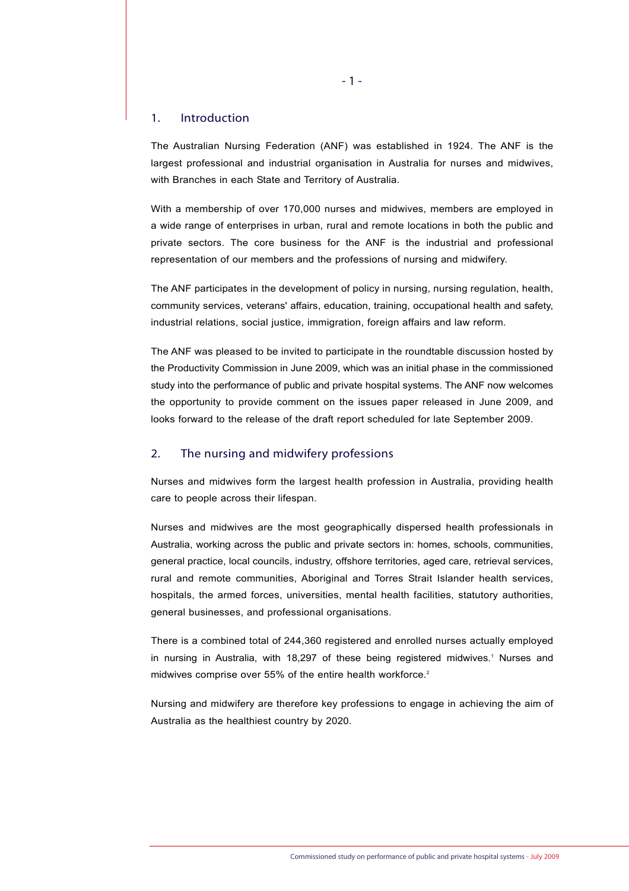#### 1. Introduction

The Australian Nursing Federation (ANF) was established in 1924. The ANF is the largest professional and industrial organisation in Australia for nurses and midwives, with Branches in each State and Territory of Australia.

With a membership of over 170,000 nurses and midwives, members are employed in a wide range of enterprises in urban, rural and remote locations in both the public and private sectors. The core business for the ANF is the industrial and professional representation of our members and the professions of nursing and midwifery.

The ANF participates in the development of policy in nursing, nursing regulation, health, community services, veterans' affairs, education, training, occupational health and safety, industrial relations, social justice, immigration, foreign affairs and law reform.

The ANF was pleased to be invited to participate in the roundtable discussion hosted by the Productivity Commission in June 2009, which was an initial phase in the commissioned study into the performance of public and private hospital systems. The ANF now welcomes the opportunity to provide comment on the issues paper released in June 2009, and looks forward to the release of the draft report scheduled for late September 2009.

#### 2. The nursing and midwifery professions

Nurses and midwives form the largest health profession in Australia, providing health care to people across their lifespan.

Nurses and midwives are the most geographically dispersed health professionals in Australia, working across the public and private sectors in: homes, schools, communities, general practice, local councils, industry, offshore territories, aged care, retrieval services, rural and remote communities, Aboriginal and Torres Strait Islander health services, hospitals, the armed forces, universities, mental health facilities, statutory authorities, general businesses, and professional organisations.

There is a combined total of 244,360 registered and enrolled nurses actually employed in nursing in Australia, with 18,297 of these being registered midwives.<sup>1</sup> Nurses and midwives comprise over 55% of the entire health workforce.<sup>2</sup>

Nursing and midwifery are therefore key professions to engage in achieving the aim of Australia as the healthiest country by 2020.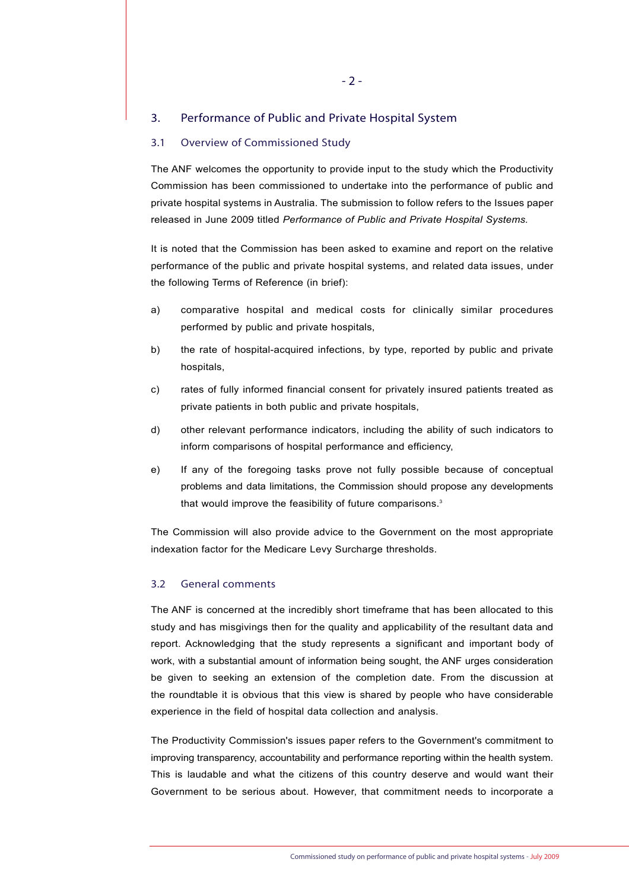### 3. Performance of Public and Private Hospital System

#### 3.1 Overview of Commissioned Study

The ANF welcomes the opportunity to provide input to the study which the Productivity Commission has been commissioned to undertake into the performance of public and private hospital systems in Australia. The submission to follow refers to the Issues paper released in June 2009 titled *Performance of Public and Private Hospital Systems.*

It is noted that the Commission has been asked to examine and report on the relative performance of the public and private hospital systems, and related data issues, under the following Terms of Reference (in brief):

- a) comparative hospital and medical costs for clinically similar procedures performed by public and private hospitals,
- b) the rate of hospital-acquired infections, by type, reported by public and private hospitals,
- c) rates of fully informed financial consent for privately insured patients treated as private patients in both public and private hospitals,
- d) other relevant performance indicators, including the ability of such indicators to inform comparisons of hospital performance and efficiency,
- e) If any of the foregoing tasks prove not fully possible because of conceptual problems and data limitations, the Commission should propose any developments that would improve the feasibility of future comparisons.<sup>3</sup>

The Commission will also provide advice to the Government on the most appropriate indexation factor for the Medicare Levy Surcharge thresholds.

#### 3.2 General comments

The ANF is concerned at the incredibly short timeframe that has been allocated to this study and has misgivings then for the quality and applicability of the resultant data and report. Acknowledging that the study represents a significant and important body of work, with a substantial amount of information being sought, the ANF urges consideration be given to seeking an extension of the completion date. From the discussion at the roundtable it is obvious that this view is shared by people who have considerable experience in the field of hospital data collection and analysis.

The Productivity Commission's issues paper refers to the Government's commitment to improving transparency, accountability and performance reporting within the health system. This is laudable and what the citizens of this country deserve and would want their Government to be serious about. However, that commitment needs to incorporate a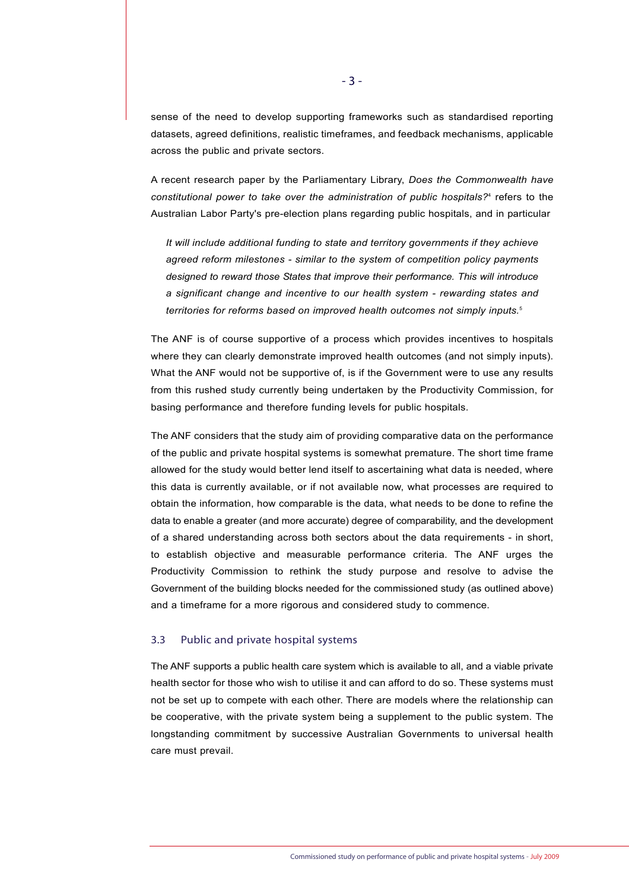sense of the need to develop supporting frameworks such as standardised reporting datasets, agreed definitions, realistic timeframes, and feedback mechanisms, applicable across the public and private sectors.

A recent research paper by the Parliamentary Library, *Does the Commonwealth have constitutional power to take over the administration of public hospitals?*<sup>4</sup> refers to the Australian Labor Party's pre-election plans regarding public hospitals, and in particular

*It will include additional funding to state and territory governments if they achieve agreed reform milestones - similar to the system of competition policy payments designed to reward those States that improve their performance. This will introduce a significant change and incentive to our health system - rewarding states and territories for reforms based on improved health outcomes not simply inputs.*<sup>5</sup>

The ANF is of course supportive of a process which provides incentives to hospitals where they can clearly demonstrate improved health outcomes (and not simply inputs). What the ANF would not be supportive of, is if the Government were to use any results from this rushed study currently being undertaken by the Productivity Commission, for basing performance and therefore funding levels for public hospitals.

The ANF considers that the study aim of providing comparative data on the performance of the public and private hospital systems is somewhat premature. The short time frame allowed for the study would better lend itself to ascertaining what data is needed, where this data is currently available, or if not available now, what processes are required to obtain the information, how comparable is the data, what needs to be done to refine the data to enable a greater (and more accurate) degree of comparability, and the development of a shared understanding across both sectors about the data requirements - in short, to establish objective and measurable performance criteria. The ANF urges the Productivity Commission to rethink the study purpose and resolve to advise the Government of the building blocks needed for the commissioned study (as outlined above) and a timeframe for a more rigorous and considered study to commence.

#### 3.3 Public and private hospital systems

The ANF supports a public health care system which is available to all, and a viable private health sector for those who wish to utilise it and can afford to do so. These systems must not be set up to compete with each other. There are models where the relationship can be cooperative, with the private system being a supplement to the public system. The longstanding commitment by successive Australian Governments to universal health care must prevail.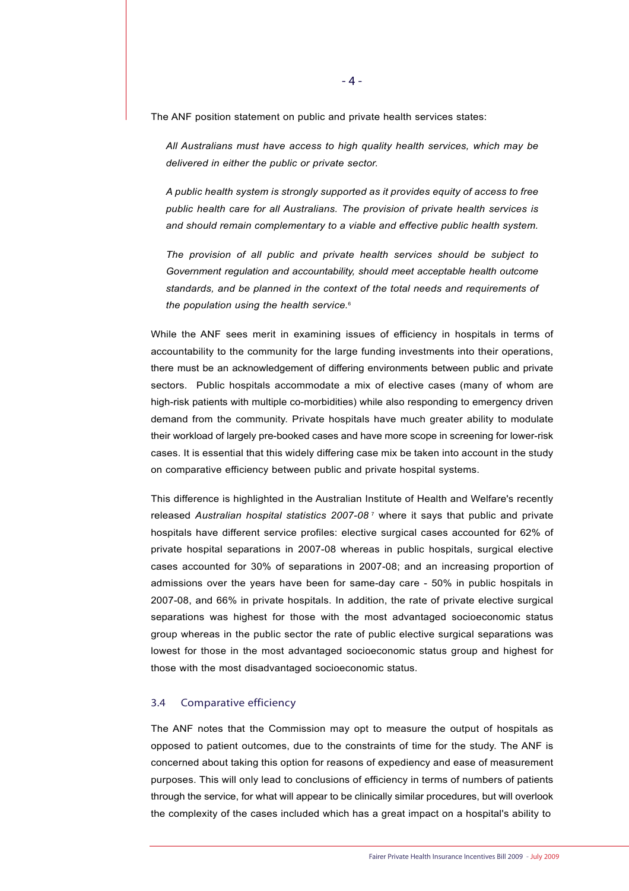The ANF position statement on public and private health services states:

*All Australians must have access to high quality health services, which may be delivered in either the public or private sector.*

*A public health system is strongly supported as it provides equity of access to free public health care for all Australians. The provision of private health services is and should remain complementary to a viable and effective public health system.* 

*The provision of all public and private health services should be subject to Government regulation and accountability, should meet acceptable health outcome standards, and be planned in the context of the total needs and requirements of the population using the health service.*<sup>6</sup>

While the ANF sees merit in examining issues of efficiency in hospitals in terms of accountability to the community for the large funding investments into their operations, there must be an acknowledgement of differing environments between public and private sectors. Public hospitals accommodate a mix of elective cases (many of whom are high-risk patients with multiple co-morbidities) while also responding to emergency driven demand from the community. Private hospitals have much greater ability to modulate their workload of largely pre-booked cases and have more scope in screening for lower-risk cases. It is essential that this widely differing case mix be taken into account in the study on comparative efficiency between public and private hospital systems.

This difference is highlighted in the Australian Institute of Health and Welfare's recently released *Australian hospital statistics 2007-08* <sup>7</sup> where it says that public and private hospitals have different service profiles: elective surgical cases accounted for 62% of private hospital separations in 2007-08 whereas in public hospitals, surgical elective cases accounted for 30% of separations in 2007-08; and an increasing proportion of admissions over the years have been for same-day care - 50% in public hospitals in 2007-08, and 66% in private hospitals. In addition, the rate of private elective surgical separations was highest for those with the most advantaged socioeconomic status group whereas in the public sector the rate of public elective surgical separations was lowest for those in the most advantaged socioeconomic status group and highest for those with the most disadvantaged socioeconomic status.

#### 3.4 Comparative efficiency

The ANF notes that the Commission may opt to measure the output of hospitals as opposed to patient outcomes, due to the constraints of time for the study. The ANF is concerned about taking this option for reasons of expediency and ease of measurement purposes. This will only lead to conclusions of efficiency in terms of numbers of patients through the service, for what will appear to be clinically similar procedures, but will overlook the complexity of the cases included which has a great impact on a hospital's ability to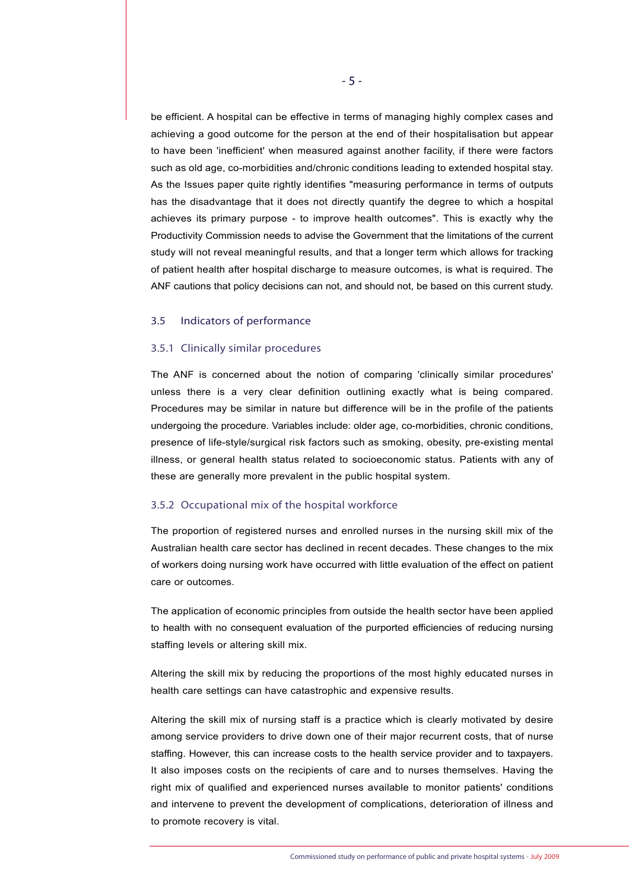be efficient. A hospital can be effective in terms of managing highly complex cases and achieving a good outcome for the person at the end of their hospitalisation but appear to have been 'inefficient' when measured against another facility, if there were factors such as old age, co-morbidities and/chronic conditions leading to extended hospital stay. As the Issues paper quite rightly identifies "measuring performance in terms of outputs has the disadvantage that it does not directly quantify the degree to which a hospital achieves its primary purpose - to improve health outcomes". This is exactly why the Productivity Commission needs to advise the Government that the limitations of the current study will not reveal meaningful results, and that a longer term which allows for tracking of patient health after hospital discharge to measure outcomes, is what is required. The ANF cautions that policy decisions can not, and should not, be based on this current study.

#### 3.5 Indicators of performance

#### 3.5.1 Clinically similar procedures

The ANF is concerned about the notion of comparing 'clinically similar procedures' unless there is a very clear definition outlining exactly what is being compared. Procedures may be similar in nature but difference will be in the profile of the patients undergoing the procedure. Variables include: older age, co-morbidities, chronic conditions, presence of life-style/surgical risk factors such as smoking, obesity, pre-existing mental illness, or general health status related to socioeconomic status. Patients with any of these are generally more prevalent in the public hospital system.

#### 3.5.2 Occupational mix of the hospital workforce

The proportion of registered nurses and enrolled nurses in the nursing skill mix of the Australian health care sector has declined in recent decades. These changes to the mix of workers doing nursing work have occurred with little evaluation of the effect on patient care or outcomes.

The application of economic principles from outside the health sector have been applied to health with no consequent evaluation of the purported efficiencies of reducing nursing staffing levels or altering skill mix.

Altering the skill mix by reducing the proportions of the most highly educated nurses in health care settings can have catastrophic and expensive results.

Altering the skill mix of nursing staff is a practice which is clearly motivated by desire among service providers to drive down one of their major recurrent costs, that of nurse staffing. However, this can increase costs to the health service provider and to taxpayers. It also imposes costs on the recipients of care and to nurses themselves. Having the right mix of qualified and experienced nurses available to monitor patients' conditions and intervene to prevent the development of complications, deterioration of illness and to promote recovery is vital.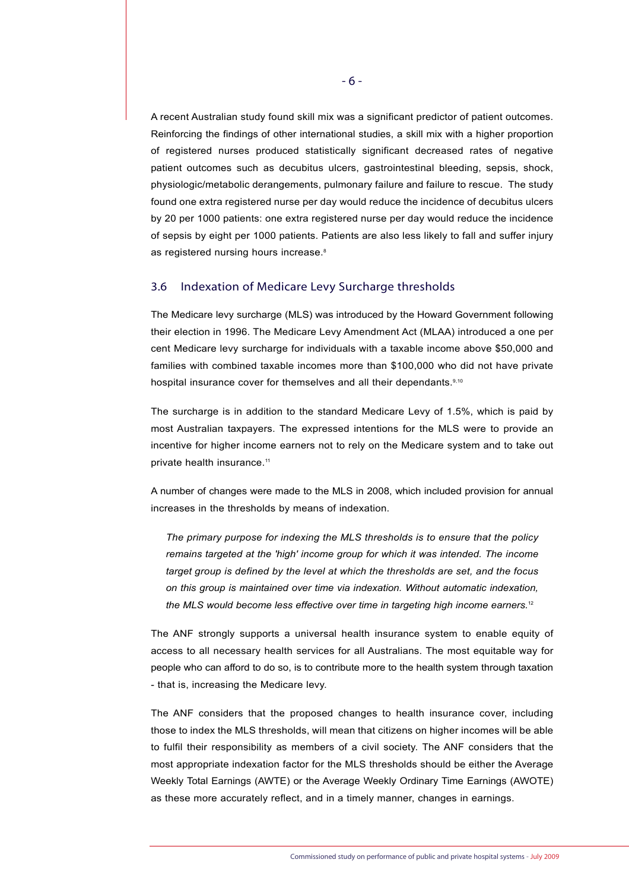A recent Australian study found skill mix was a significant predictor of patient outcomes. Reinforcing the findings of other international studies, a skill mix with a higher proportion of registered nurses produced statistically significant decreased rates of negative patient outcomes such as decubitus ulcers, gastrointestinal bleeding, sepsis, shock, physiologic/metabolic derangements, pulmonary failure and failure to rescue. The study found one extra registered nurse per day would reduce the incidence of decubitus ulcers by 20 per 1000 patients: one extra registered nurse per day would reduce the incidence of sepsis by eight per 1000 patients. Patients are also less likely to fall and suffer injury as registered nursing hours increase.<sup>8</sup>

#### 3.6 Indexation of Medicare Levy Surcharge thresholds

The Medicare levy surcharge (MLS) was introduced by the Howard Government following their election in 1996. The Medicare Levy Amendment Act (MLAA) introduced a one per cent Medicare levy surcharge for individuals with a taxable income above \$50,000 and families with combined taxable incomes more than \$100,000 who did not have private hospital insurance cover for themselves and all their dependants.<sup>9,10</sup>

The surcharge is in addition to the standard Medicare Levy of 1.5%, which is paid by most Australian taxpayers. The expressed intentions for the MLS were to provide an incentive for higher income earners not to rely on the Medicare system and to take out private health insurance.<sup>11</sup>

A number of changes were made to the MLS in 2008, which included provision for annual increases in the thresholds by means of indexation.

*The primary purpose for indexing the MLS thresholds is to ensure that the policy remains targeted at the 'high' income group for which it was intended. The income target group is defined by the level at which the thresholds are set, and the focus on this group is maintained over time via indexation. Without automatic indexation, the MLS would become less effective over time in targeting high income earners.*<sup>12</sup>

The ANF strongly supports a universal health insurance system to enable equity of access to all necessary health services for all Australians. The most equitable way for people who can afford to do so, is to contribute more to the health system through taxation - that is, increasing the Medicare levy.

The ANF considers that the proposed changes to health insurance cover, including those to index the MLS thresholds, will mean that citizens on higher incomes will be able to fulfil their responsibility as members of a civil society. The ANF considers that the most appropriate indexation factor for the MLS thresholds should be either the Average Weekly Total Earnings (AWTE) or the Average Weekly Ordinary Time Earnings (AWOTE) as these more accurately reflect, and in a timely manner, changes in earnings.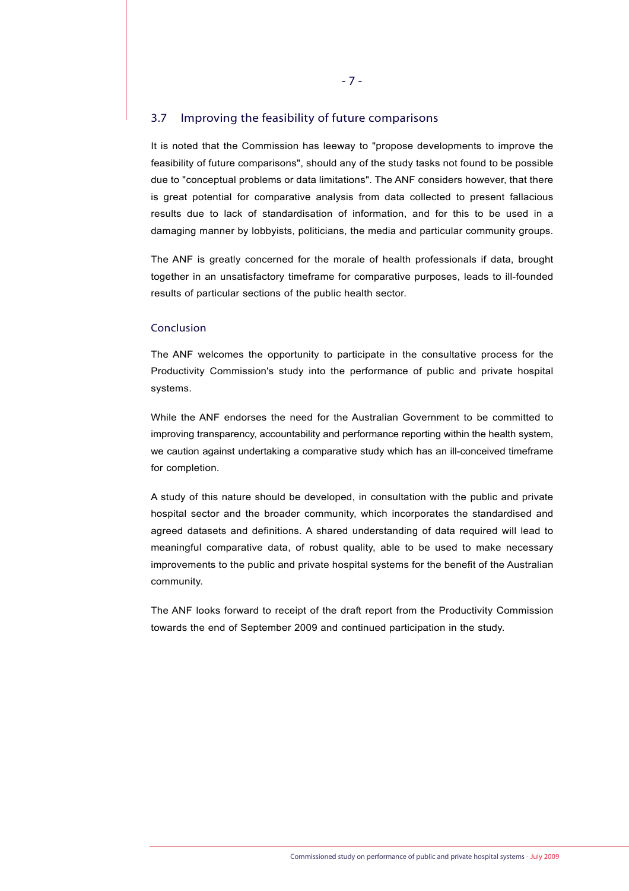## 3.7 Improving the feasibility of future comparisons

It is noted that the Commission has leeway to "propose developments to improve the feasibility of future comparisons", should any of the study tasks not found to be possible due to "conceptual problems or data limitations". The ANF considers however, that there is great potential for comparative analysis from data collected to present fallacious results due to lack of standardisation of information, and for this to be used in a damaging manner by lobbyists, politicians, the media and particular community groups.

The ANF is greatly concerned for the morale of health professionals if data, brought together in an unsatisfactory timeframe for comparative purposes, leads to ill-founded results of particular sections of the public health sector.

#### Conclusion

The ANF welcomes the opportunity to participate in the consultative process for the Productivity Commission's study into the performance of public and private hospital systems.

While the ANF endorses the need for the Australian Government to be committed to improving transparency, accountability and performance reporting within the health system, we caution against undertaking a comparative study which has an ill-conceived timeframe for completion.

A study of this nature should be developed, in consultation with the public and private hospital sector and the broader community, which incorporates the standardised and agreed datasets and definitions. A shared understanding of data required will lead to meaningful comparative data, of robust quality, able to be used to make necessary improvements to the public and private hospital systems for the benefit of the Australian community.

The ANF looks forward to receipt of the draft report from the Productivity Commission towards the end of September 2009 and continued participation in the study.